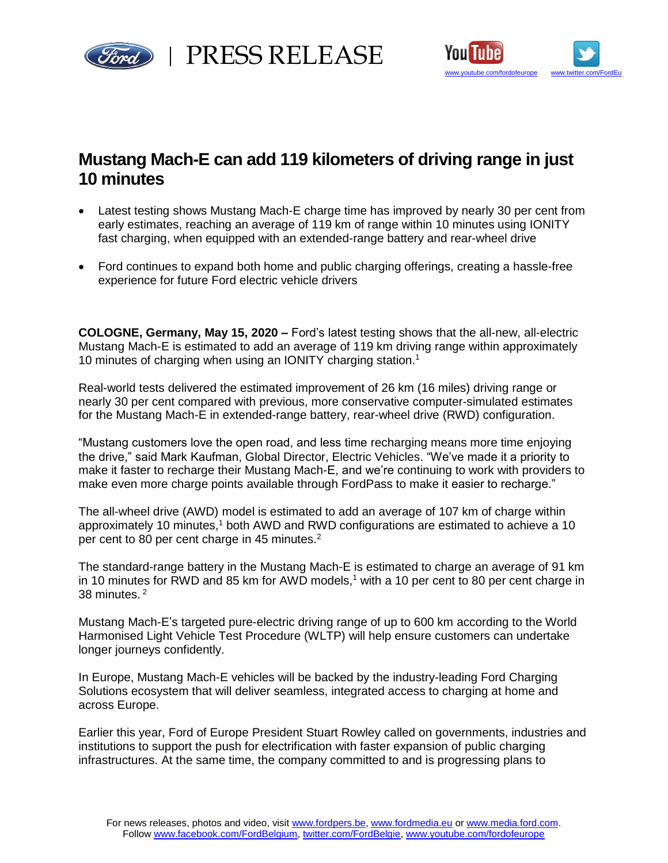



## **Mustang Mach-E can add 119 kilometers of driving range in just 10 minutes**

- Latest testing shows Mustang Mach-E charge time has improved by nearly 30 per cent from early estimates, reaching an average of 119 km of range within 10 minutes using IONITY fast charging, when equipped with an extended-range battery and rear-wheel drive
- Ford continues to expand both home and public charging offerings, creating a hassle-free experience for future Ford electric vehicle drivers

**COLOGNE, Germany, May 15, 2020 –** Ford's latest testing shows that the all-new, all-electric Mustang Mach-E is estimated to add an average of 119 km driving range within approximately 10 minutes of charging when using an IONITY charging station. 1

Real-world tests delivered the estimated improvement of 26 km (16 miles) driving range or nearly 30 per cent compared with previous, more conservative computer-simulated estimates for the Mustang Mach-E in extended-range battery, rear-wheel drive (RWD) configuration.

"Mustang customers love the open road, and less time recharging means more time enjoying the drive," said Mark Kaufman, Global Director, Electric Vehicles. "We've made it a priority to make it faster to recharge their Mustang Mach-E, and we're continuing to work with providers to make even more charge points available through FordPass to make it easier to recharge."

The all-wheel drive (AWD) model is estimated to add an average of 107 km of charge within approximately 10 minutes,<sup>1</sup> both AWD and RWD configurations are estimated to achieve a 10 per cent to 80 per cent charge in 45 minutes.<sup>2</sup>

The standard-range battery in the Mustang Mach-E is estimated to charge an average of 91 km in 10 minutes for RWD and 85 km for AWD models,<sup>1</sup> with a 10 per cent to 80 per cent charge in 38 minutes. <sup>2</sup>

Mustang Mach-E's targeted pure-electric driving range of up to 600 km according to the World Harmonised Light Vehicle Test Procedure (WLTP) will help ensure customers can undertake longer journeys confidently.

In Europe, Mustang Mach-E vehicles will be backed by the industry-leading Ford Charging Solutions ecosystem that will deliver seamless, integrated access to charging at home and across Europe.

Earlier this year, Ford of Europe President Stuart Rowley called on governments, industries and institutions to support the push for electrification with faster expansion of public charging infrastructures. At the same time, the company committed to and is progressing plans to